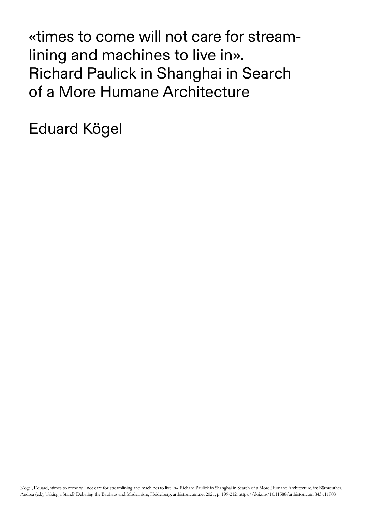«times to come will not care for streamlining and machines to live in». Richard Paulick in Shanghai in Search of a More Humane Architecture

Eduard Kögel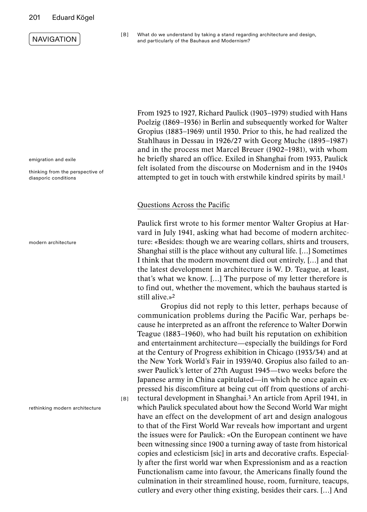### 201 Eduard Kögel

## **NAVIGATION**

### TABLE OF CONTENTS



emigration and exile

thinking from the perspective of diasporic conditions

modern architecture

rethinking modern architecture

[ B ]

[ B ] What do we understand by taking a stand regarding architecture and design, and particularly of the Bauhaus and Modernism?

From 1925 to 1927, Richard Paulick (1903–1979) studied with Hans Poelzig (1869–1936) in Berlin and subsequently worked for Walter Gropius (1883–1969) until 1930. Prior to this, he had realized the Stahlhaus in Dessau in 1926/27 with Georg Muche (1895–1987) and in the process met Marcel Breuer (1902–1981), with whom he briefly shared an office. Exiled in Shanghai from 1933, Paulick felt isolated from the discourse on Modernism and in the 1940s attempted to get in touch with erstwhile kindred spirits by mail.1

#### Questions Across the Pacific

Paulick first wrote to his former mentor Walter Gropius at Harvard in July 1941, asking what had become of modern architecture: «Besides: though we are wearing collars, shirts and trousers, Shanghai still is the place without any cultural life. […] Sometimes I think that the modern movement died out entirely, […] and that the latest development in architecture is W. D. Teague, at least, that's what we know. […] The purpose of my letter therefore is to find out, whether the movement, which the bauhaus started is still alive.»2

Gropius did not reply to this letter, perhaps because of communication problems during the Pacific War, perhaps because he interpreted as an affront the reference to Walter Dorwin Teague (1883–1960), who had built his reputation on exhibition and entertainment architecture—especially the buildings for Ford at the Century of Progress exhibition in Chicago (1933/34) and at the New York World's Fair in 1939/40. Gropius also failed to answer Paulick's letter of 27th August 1945—two weeks before the Japanese army in China capitulated—in which he once again expressed his discomfiture at being cut off from questions of architectural development in Shanghai.3 An article from April 1941, in which Paulick speculated about how the Second World War might have an effect on the development of art and design analogous to that of the First World War reveals how important and urgent the issues were for Paulick: «On the European continent we have been witnessing since 1900 a turning away of taste from historical copies and eclesticism [sic] in arts and decorative crafts. Especially after the first world war when Expressionism and as a reaction Functionalism came into favour, the Americans finally found the

culmination in their streamlined house, room, furniture, teacups, cutlery and every other thing existing, besides their cars. […] And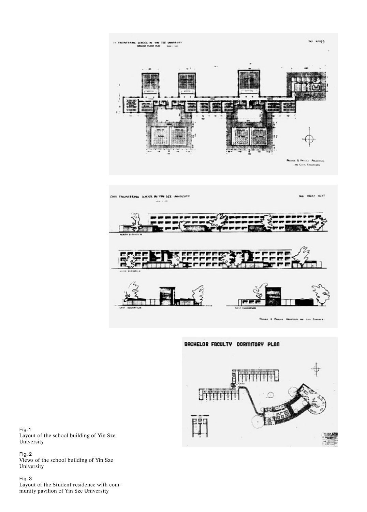



Fig. 1 Layout of the school building of Yin Sze University

Fig. 2 Views of the school building of Yin Sze University

Fig. 3 Layout of the Student residence with community pavilion of Yin Sze University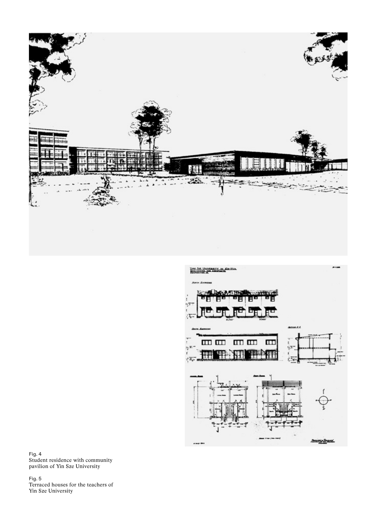



Fig. 4 Student residence with community pavilion of Yin Sze University

Fig. 5 Terraced houses for the teachers of Yin Sze University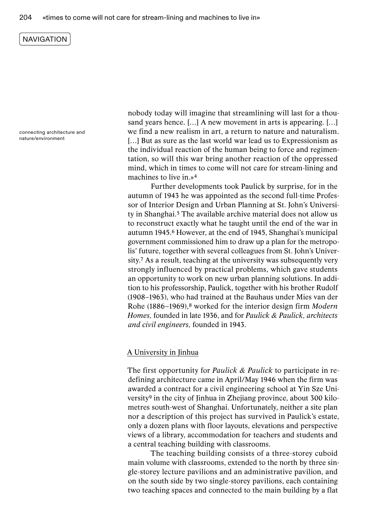connecting architecture and nature/environment

nobody today will imagine that streamlining will last for a thousand years hence. […] A new movement in arts is appearing. […] we find a new realism in art, a return to nature and naturalism. [...] But as sure as the last world war lead us to Expressionism as the individual reaction of the human being to force and regimentation, so will this war bring another reaction of the oppressed mind, which in times to come will not care for stream-lining and machines to live in.»4

Further developments took Paulick by surprise, for in the autumn of 1943 he was appointed as the second full-time Professor of Interior Design and Urban Planning at St. John's University in Shanghai.5 The available archive material does not allow us to reconstruct exactly what he taught until the end of the war in autumn 1945.6 However, at the end of 1945, Shanghai's municipal government commissioned him to draw up a plan for the metropolis' future, together with several colleagues from St. John's University.7 As a result, teaching at the university was subsequently very strongly influenced by practical problems, which gave students an opportunity to work on new urban planning solutions. In addition to his professorship, Paulick, together with his brother Rudolf (1908–1963), who had trained at the Bauhaus under Mies van der Rohe (1886–1969),8 worked for the interior design firm *Modern Homes,* founded in late 1936, and for *Paulick & Paulick, architects and civil engineers,* founded in 1943.

#### A University in Jinhua

The first opportunity for *Paulick & Paulick* to participate in redefining architecture came in April/May 1946 when the firm was awarded a contract for a civil engineering school at Yin Sze University9 in the city of Jinhua in Zhejiang province, about 300 kilometres south-west of Shanghai. Unfortunately, neither a site plan nor a description of this project has survived in Paulick's estate, only a dozen plans with floor layouts, elevations and perspective views of a library, accommodation for teachers and students and a central teaching building with classrooms.

The teaching building consists of a three-storey cuboid main volume with classrooms, extended to the north by three single-storey lecture pavilions and an administrative pavilion, and on the south side by two single-storey pavilions, each containing two teaching spaces and connected to the main building by a flat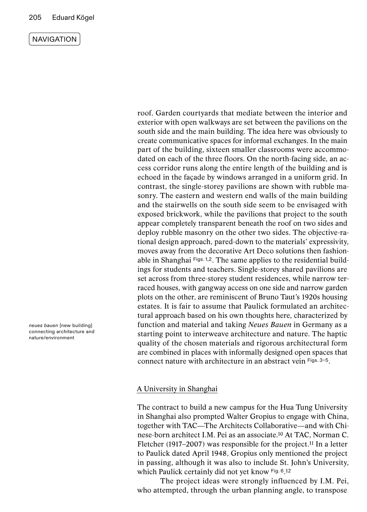TABLE OF CONTENTS

QUESTIONS

**KEYWORDS** 

*neues bauen* [new building] connecting architecture and nature/environment

roof. Garden courtyards that mediate between the interior and exterior with open walkways are set between the pavilions on the south side and the main building. The idea here was obviously to create communicative spaces for informal exchanges. In the main part of the building, sixteen smaller classrooms were accommodated on each of the three floors. On the north-facing side, an access corridor runs along the entire length of the building and is echoed in the façade by windows arranged in a uniform grid. In contrast, the single-storey pavilions are shown with rubble masonry. The eastern and western end walls of the main building and the stairwells on the south side seem to be envisaged with exposed brickwork, while the pavilions that project to the south appear completely transparent beneath the roof on two sides and deploy rubble masonry on the other two sides. The objective-rational design approach, pared-down to the materials' expressivity, moves away from the decorative Art Deco solutions then fashionable in Shanghai Figs. 1,2. The same applies to the residential buildings for students and teachers. Single-storey shared pavilions are set across from three-storey student residences, while narrow terraced houses, with gangway access on one side and narrow garden plots on the other, are reminiscent of Bruno Taut's 1920s housing estates. It is fair to assume that Paulick formulated an architectural approach based on his own thoughts here, characterized by function and material and taking *Neues Bauen* in Germany as a starting point to interweave architecture and nature. The haptic quality of the chosen materials and rigorous architectural form are combined in places with informally designed open spaces that connect nature with architecture in an abstract vein Figs. 3–5.

## A University in Shanghai

The contract to build a new campus for the Hua Tung University in Shanghai also prompted Walter Gropius to engage with China, together with TAC—The Architects Collaborative—and with Chinese-born architect I.M. Pei as an associate.10 At TAC, Norman C. Fletcher (1917–2007) was responsible for the project.<sup>11</sup> In a letter to Paulick dated April 1948, Gropius only mentioned the project in passing, although it was also to include St. John's University, which Paulick certainly did not yet know Fig. 6.12

The project ideas were strongly influenced by I.M. Pei, who attempted, through the urban planning angle, to transpose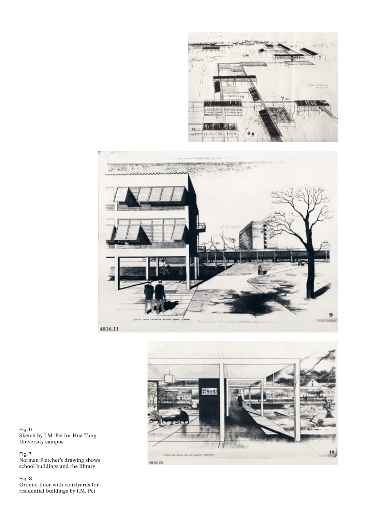







Fig. 6 Sketch by I.M. Pei for Hua Tung University campus

Fig. 7 Norman Fletcher's drawing shows school buildings and the library

Fig. 8 Ground floor with courtyards for residential buildings by I.M. Pei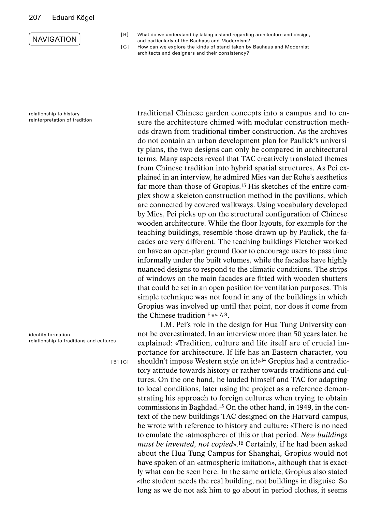### 207 Eduard Kögel



relationship to history reinterpretation of tradition

identity formation relationship to traditions and cultures

[ B ] [ C ]

- [ B ] What do we understand by taking a stand regarding architecture and design, and particularly of the Bauhaus and Modernism?
- [C] How can we explore the kinds of stand taken by Bauhaus and Modernist architects and designers and their consistency?

traditional Chinese garden concepts into a campus and to ensure the architecture chimed with modular construction methods drawn from traditional timber construction. As the archives do not contain an urban development plan for Paulick's university plans, the two designs can only be compared in architectural terms. Many aspects reveal that TAC creatively translated themes from Chinese tradition into hybrid spatial structures. As Pei explained in an interview, he admired Mies van der Rohe's aesthetics far more than those of Gropius.13 His sketches of the entire complex show a skeleton construction method in the pavilions, which are connected by covered walkways. Using vocabulary developed by Mies, Pei picks up on the structural configuration of Chinese wooden architecture. While the floor layouts, for example for the teaching buildings, resemble those drawn up by Paulick, the facades are very different. The teaching buildings Fletcher worked on have an open-plan ground floor to encourage users to pass time informally under the built volumes, while the facades have highly nuanced designs to respond to the climatic conditions. The strips of windows on the main facades are fitted with wooden shutters that could be set in an open position for ventilation purposes. This simple technique was not found in any of the buildings in which Gropius was involved up until that point, nor does it come from the Chinese tradition Figs. 7, 8.

I.M. Pei's role in the design for Hua Tung University cannot be overestimated. In an interview more than 50 years later, he explained: «Tradition, culture and life itself are of crucial importance for architecture. If life has an Eastern character, you shouldn't impose Western style on it!»14 Gropius had a contradictory attitude towards history or rather towards traditions and cultures. On the one hand, he lauded himself and TAC for adapting to local conditions, later using the project as a reference demonstrating his approach to foreign cultures when trying to obtain commissions in Baghdad.15 On the other hand, in 1949, in the context of the new buildings TAC designed on the Harvard campus, he wrote with reference to history and culture: «There is no need to emulate the ‹atmosphere› of this or that period. *New buildings must be invented, not copied*».16 Certainly, if he had been asked about the Hua Tung Campus for Shanghai, Gropius would not have spoken of an «atmospheric imitation», although that is exactly what can be seen here. In the same article, Gropius also stated «the student needs the real building, not buildings in disguise. So long as we do not ask him to go about in period clothes, it seems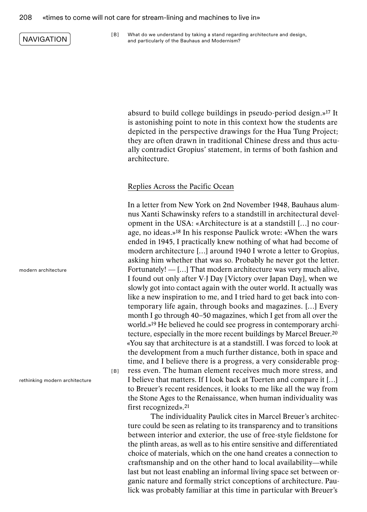[ B ] What do we understand by taking a stand regarding architecture and design, and particularly of the Bauhaus and Modernism?

absurd to build college buildings in pseudo-period design.»17 It is astonishing point to note in this context how the students are depicted in the perspective drawings for the Hua Tung Project; they are often drawn in traditional Chinese dress and thus actually contradict Gropius' statement, in terms of both fashion and architecture.

#### Replies Across the Pacific Ocean

In a letter from New York on 2nd November 1948, Bauhaus alumnus Xanti Schawinsky refers to a standstill in architectural development in the USA: «Architecture is at a standstill […] no courage, no ideas.»18 In his response Paulick wrote: «When the wars ended in 1945, I practically knew nothing of what had become of modern architecture […] around 1940 I wrote a letter to Gropius, asking him whether that was so. Probably he never got the letter. Fortunately! — […] That modern architecture was very much alive, I found out only after V-J Day [Victory over Japan Day], when we slowly got into contact again with the outer world. It actually was like a new inspiration to me, and I tried hard to get back into contemporary life again, through books and magazines. […] Every month I go through 40–50 magazines, which I get from all over the world.»19 He believed he could see progress in contemporary architecture, especially in the more recent buildings by Marcel Breuer.20 «You say that architecture is at a standstill. I was forced to look at the development from a much further distance, both in space and time, and I believe there is a progress, a very considerable progress even. The human element receives much more stress, and I believe that matters. If I look back at Toerten and compare it […] to Breuer's recent residences, it looks to me like all the way from the Stone Ages to the Renaissance, when human individuality was first recognized».21

The individuality Paulick cites in Marcel Breuer's architecture could be seen as relating to its transparency and to transitions between interior and exterior, the use of free-style fieldstone for the plinth areas, as well as to his entire sensitive and differentiated choice of materials, which on the one hand creates a connection to craftsmanship and on the other hand to local availability—while last but not least enabling an informal living space set between organic nature and formally strict conceptions of architecture. Paulick was probably familiar at this time in particular with Breuer's

modern architecture

rethinking modern architecture

[ B ]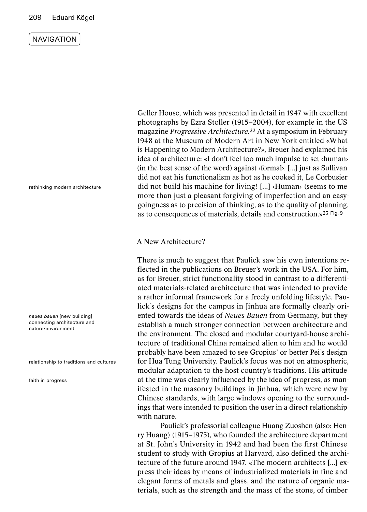#### 209 Eduard Kögel

**NAVIGATION** 

TABLE OF CONTENTS

QUESTIONS

**KEYWORDS** 

rethinking modern architecture

*neues bauen* [new building] connecting architecture and nature/environment

relationship to traditions and cultures

faith in progress

Geller House, which was presented in detail in 1947 with excellent photographs by Ezra Stoller (1915–2004), for example in the US magazine *Progressive Architecture.*22 At a symposium in February 1948 at the Museum of Modern Art in New York entitled «What is Happening to Modern Architecture?», Breuer had explained his idea of architecture: «I don't feel too much impulse to set ‹human› (in the best sense of the word) against ‹formal›. [...] just as Sullivan did not eat his functionalism as hot as he cooked it, Le Corbusier did not build his machine for living! [...] ‹Human› (seems to me more than just a pleasant forgiving of imperfection and an easygoingness as to precision of thinking, as to the quality of planning, as to consequences of materials, details and construction.»23 Fig. 9

## A New Architecture?

There is much to suggest that Paulick saw his own intentions reflected in the publications on Breuer's work in the USA. For him, as for Breuer, strict functionality stood in contrast to a differentiated materials-related architecture that was intended to provide a rather informal framework for a freely unfolding lifestyle. Paulick's designs for the campus in Jinhua are formally clearly oriented towards the ideas of *Neues Bauen* from Germany, but they establish a much stronger connection between architecture and the environment. The closed and modular courtyard-house architecture of traditional China remained alien to him and he would probably have been amazed to see Gropius' or better Pei's design for Hua Tung University. Paulick's focus was not on atmospheric, modular adaptation to the host country's traditions. His attitude at the time was clearly influenced by the idea of progress, as manifested in the masonry buildings in Jinhua, which were new by Chinese standards, with large windows opening to the surroundings that were intended to position the user in a direct relationship with nature.

Paulick's professorial colleague Huang Zuoshen (also: Henry Huang) (1915–1975), who founded the architecture department at St. John's University in 1942 and had been the first Chinese student to study with Gropius at Harvard, also defined the architecture of the future around 1947. «The modern architects [...] express their ideas by means of industrialized materials in fine and elegant forms of metals and glass, and the nature of organic materials, such as the strength and the mass of the stone, of timber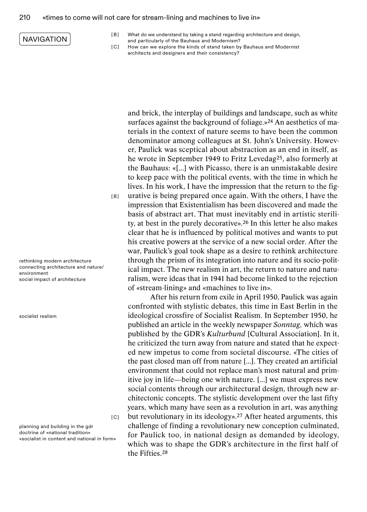#### 210 «times to come will not care for stream-lining and machines to live in»

### NAVIGATION

- [ B ] What do we understand by taking a stand regarding architecture and design, and particularly of the Bauhaus and Modernism?
- [C] How can we explore the kinds of stand taken by Bauhaus and Modernist architects and designers and their consistency?

and brick, the interplay of buildings and landscape, such as white surfaces against the background of foliage.»<sup>24</sup> An aesthetics of materials in the context of nature seems to have been the common denominator among colleagues at St. John's University. However, Paulick was sceptical about abstraction as an end in itself, as he wrote in September 1949 to Fritz Levedag25, also formerly at the Bauhaus: «[...] with Picasso, there is an unmistakable desire to keep pace with the political events, with the time in which he lives. In his work, I have the impression that the return to the figurative is being prepared once again. With the others, I have the impression that Existentialism has been discovered and made the basis of abstract art. That must inevitably end in artistic sterility, at best in the purely decorative».26 In this letter he also makes clear that he is influenced by political motives and wants to put his creative powers at the service of a new social order. After the war, Paulick's goal took shape as a desire to rethink architecture through the prism of its integration into nature and its socio-political impact. The new realism in art, the return to nature and naturalism, were ideas that in 1941 had become linked to the rejection of «stream-lining» and «machines to live in».

After his return from exile in April 1950, Paulick was again confronted with stylistic debates, this time in East Berlin in the ideological crossfire of Socialist Realism. In September 1950, he published an article in the weekly newspaper *Sonntag,* which was published by the GDR's *Kulturbund* [Cultural Association]. In it, he criticized the turn away from nature and stated that he expected new impetus to come from societal discourse. «The cities of the past closed man off from nature [...]. They created an artificial environment that could not replace man's most natural and primitive joy in life—being one with nature. [...] we must express new social contents through our architectural design, through new architectonic concepts. The stylistic development over the last fifty years, which many have seen as a revolution in art, was anything but revolutionary in its ideology».27 After heated arguments, this challenge of finding a revolutionary new conception culminated, for Paulick too, in national design as demanded by ideology, which was to shape the GDR's architecture in the first half of the Fifties.28

rethinking modern architecture connecting architecture and nature/ environment social impact of architecture

socialist realism

 $|C|$ 

[ B ]

planning and building in the gdr doctrine of «national tradition» «socialist in content and national in form»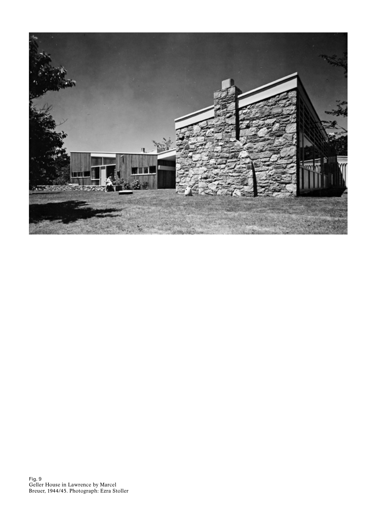